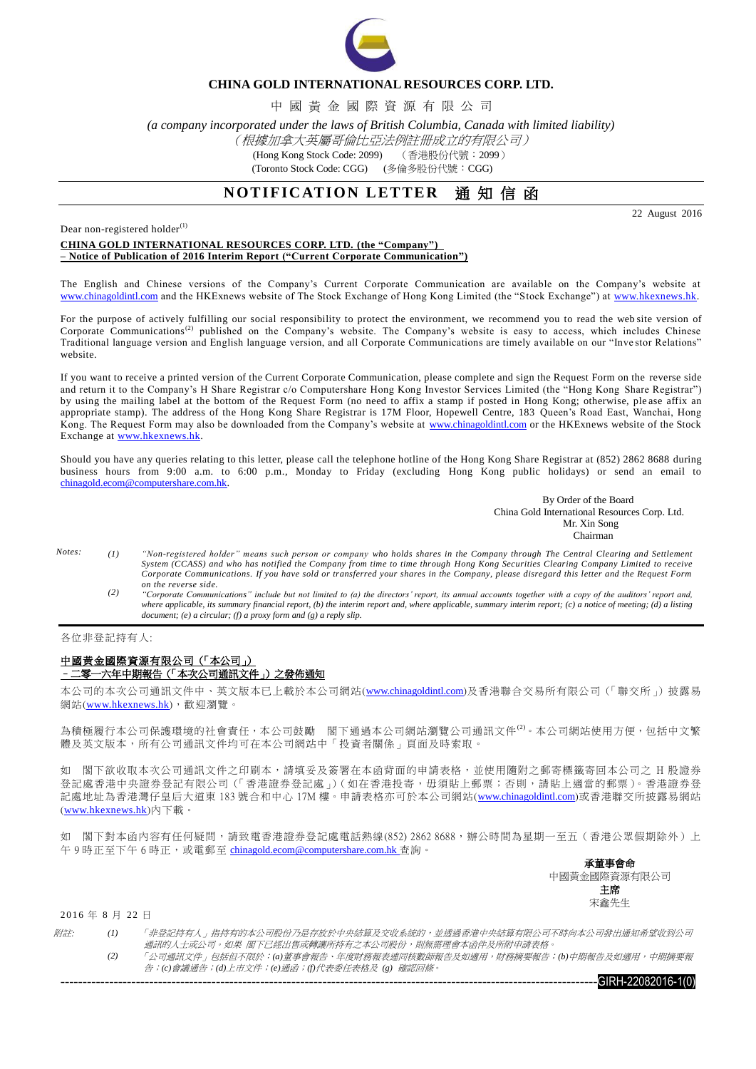

## **CHINA GOLD INTERNATIONAL RESOURCES CORP. LTD.**

中 國 黃 金 國 際 資 源 有 限 公 司

*(a company incorporated under the laws of British Columbia, Canada with limited liability)*

### (根據加拿大英屬哥倫比亞法例註冊成立的有限公司)

(Hong Kong Stock Code: 2099) (香港股份代號:2099)

(Toronto Stock Code: CGG) (多倫多股份代號:CGG)

# **NOTIFICATION LETTER** 通知信函

22 August 2016

Dear non-registered holder $^{(1)}$ 

#### **CHINA GOLD INTERNATIONAL RESOURCES CORP. LTD. (the "Company") – Notice of Publication of 2016 Interim Report ("Current Corporate Communication")**

The English and Chinese versions of the Company's Current Corporate Communication are available on the Company's website at [www.chinagoldintl.com](http://www.chinagoldintl.com/) and the HKExnews website of The Stock Exchange of Hong Kong Limited (the "Stock Exchange") at [www.hkexnews.hk.](http://www.hkexnews.hk/index.htm)

For the purpose of actively fulfilling our social responsibility to protect the environment, we recommend you to read the web site version of Corporate Communications<sup>(2)</sup> published on the Company's website. The Company's website is easy to access, which includes Chinese Traditional language version and English language version, and all Corporate Communications are timely available on our "Inve stor Relations" website.

If you want to receive a printed version of the Current Corporate Communication, please complete and sign the Request Form on the reverse side and return it to the Company's H Share Registrar c/o Computershare Hong Kong Investor Services Limited (the "Hong Kong Share Registrar") by using the mailing label at the bottom of the Request Form (no need to affix a stamp if posted in Hong Kong; otherwise, ple ase affix an appropriate stamp). The address of the Hong Kong Share Registrar is 17M Floor, Hopewell Centre, 183 Queen's Road East, Wanchai, Hong Kong. The Request Form may also be downloaded from the Company's website at [www.chinagoldintl.com](http://www.chinagoldintl.com/) or the HKExnews website of the Stock Exchange at [www.hkexnews.hk.](http://www.hkexnews.hk/index.htm)

Should you have any queries relating to this letter, please call the telephone hotline of the Hong Kong Share Registrar at (852) 2862 8688 during business hours from 9:00 a.m. to 6:00 p.m., Monday to Friday (excluding Hong Kong public holidays) or send an email to [chinagold.ecom@computershare.com.hk.](mailto:sanmiguel.ecom@computershare.com.hk)

> By Order of the Board China Gold International Resources Corp. Ltd. Mr. Xin Song **Chairman**

- *Notes: (1) "Non-registered holder" means such person or company who holds shares in the Company through The Central Clearing and Settlement System (CCASS) and who has notified the Company from time to time through Hong Kong Securities Clearing Company Limited to receive Corporate Communications. If you have sold or transferred your shares in the Company, please disregard this letter and the Request Form on the reverse side.*
	- *(2) "Corporate Communications" include but not limited to (a) the directors' report, its annual accounts together with a copy of the auditors' report and, where applicable, its summary financial report, (b) the interim report and, where applicable, summary interim report; (c) a notice of meeting; (d) a listing document; (e) a circular; (f) a proxy form and (g) a reply slip.*

各位非登記持有人:

#### 中國黃金國際資源有限公司(「本公司」) –二零一六年中期報告(「本次公司通訊文件」)之發佈通知

本公司的本次公司通訊文件中、英文版本已上載於本公司網站([www.chinagoldintl.com](http://www.chinagoldintl.com/))及香港聯合交易所有限公司(「聯交所」)披露易 網站([www.hkexnews.hk](http://www.hkexnews.hk/index.htm)),歡迎瀏覽。

為積極履行本公司保護環境的社會責任,本公司鼓勵 閣下通過本公司網站瀏覽公司通訊文件<sup>(2)</sup>。本公司網站使用方便,包括中文繁 體及英文版本,所有公司通訊文件均可在本公司網站中「投資者關係」頁面及時索取。

如 閣下欲收取本次公司通訊文件之印刷本,請填妥及簽署在本函背面的申請表格,並使用隨附之郵寄標籤寄回本公司之 H 股證券 登記處香港中央證券登記有限公司(「香港證券登記處」)(如在香港投寄,毋須貼上郵票;否則,請貼上適當的郵票)。香港證券登 記處地址為香港灣仔皇后大道東 183 號合和中心 17M 樓。申請表格亦可於本公司網站([www.chinagoldintl.com](http://www.chinagoldintl.com/))或香港聯交所披露易網站 ([www.hkexnews.hk](http://www.hkexnews.hk/index.htm))內下載。

如 閣下對本函內容有任何疑問,請致電香港證券登記處電話熱線(852) 2862 8688,辦公時間為星期一至五(香港公眾假期除外)上 午9時正至下午6時正,或電郵至 [chinagold.ecom@computershare.com.hk](mailto:sanmiguel.ecom@computershare.com.hk) 查詢。

> 承董事會命 中國黃金國際資源有限公司 主席 宋鑫先生

2016 年 8 月 22 日

| <i>附註:</i> |     | 「非登記持有人」指持有的本公司股份乃是存放於中央結算及交收系統的,並透過香港中央結算有限公司不時向本公司發出通知希望收到公司」    |
|------------|-----|--------------------------------------------------------------------|
|            |     | 涌訊的人十或公司。如果 閣下已經出售或轉讓所持有之本公司股份,即無需理會本函件及所附申請表格。                    |
|            | (2) | 「公司通訊文件」包括但不限於:(a)董事會報告、年度財務報表連同核數師報告及如適用,財務摘要報告;(b)中期報告及如適用,中期摘要報 |
|            |     | 告;(c)會議通告;(d)上市文件;(e)通函;(f)代表委任表格及 (g) 確認回條。                       |

 $-6$ IRH-22082016-1